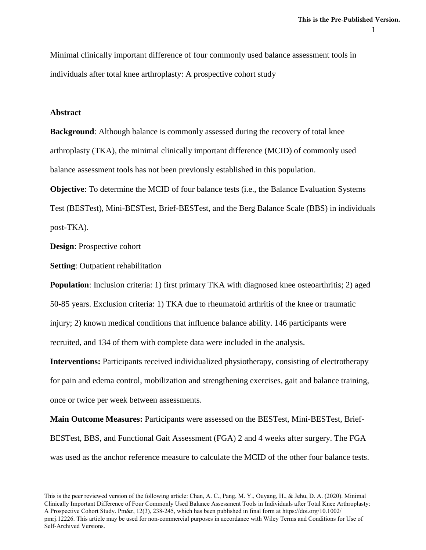Minimal clinically important difference of four commonly used balance assessment tools in individuals after total knee arthroplasty: A prospective cohort study

## **Abstract**

**Background**: Although balance is commonly assessed during the recovery of total knee arthroplasty (TKA), the minimal clinically important difference (MCID) of commonly used balance assessment tools has not been previously established in this population.

**Objective**: To determine the MCID of four balance tests (i.e., the Balance Evaluation Systems Test (BESTest), Mini-BESTest, Brief-BESTest, and the Berg Balance Scale (BBS) in individuals post-TKA).

**Design**: Prospective cohort

**Setting**: Outpatient rehabilitation

**Population**: Inclusion criteria: 1) first primary TKA with diagnosed knee osteoarthritis; 2) aged 50-85 years. Exclusion criteria: 1) TKA due to rheumatoid arthritis of the knee or traumatic injury; 2) known medical conditions that influence balance ability. 146 participants were recruited, and 134 of them with complete data were included in the analysis.

**Interventions:** Participants received individualized physiotherapy, consisting of electrotherapy for pain and edema control, mobilization and strengthening exercises, gait and balance training, once or twice per week between assessments.

**Main Outcome Measures:** Participants were assessed on the BESTest, Mini-BESTest, Brief-BESTest, BBS, and Functional Gait Assessment (FGA) 2 and 4 weeks after surgery. The FGA was used as the anchor reference measure to calculate the MCID of the other four balance tests.

This is the peer reviewed version of the following article: Chan, A. C., Pang, M. Y., Ouyang, H., & Jehu, D. A. (2020). Minimal Clinically Important Difference of Four Commonly Used Balance Assessment Tools in Individuals after Total Knee Arthroplasty: A Prospective Cohort Study. Pm&r, 12(3), 238-245, which has been published in final form at https://doi.org/10.1002/ pmrj.12226. This article may be used for non-commercial purposes in accordance with Wiley Terms and Conditions for Use of Self-Archived Versions.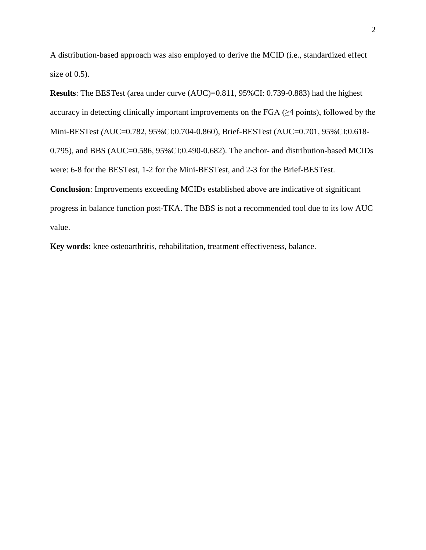A distribution-based approach was also employed to derive the MCID (i.e., standardized effect size of 0.5).

**Results**: The BESTest (area under curve (AUC)=0.811, 95%CI: 0.739-0.883) had the highest accuracy in detecting clinically important improvements on the FGA  $(\geq 4$  points), followed by the Mini-BESTest *(*AUC=0.782, 95%CI:0.704-0.860), Brief-BESTest (AUC=0.701, 95%CI:0.618- 0.795), and BBS (AUC=0.586, 95%CI:0.490-0.682). The anchor- and distribution-based MCIDs were: 6-8 for the BESTest, 1-2 for the Mini-BESTest, and 2-3 for the Brief-BESTest. **Conclusion**: Improvements exceeding MCIDs established above are indicative of significant progress in balance function post-TKA. The BBS is not a recommended tool due to its low AUC value.

**Key words:** knee osteoarthritis, rehabilitation, treatment effectiveness, balance.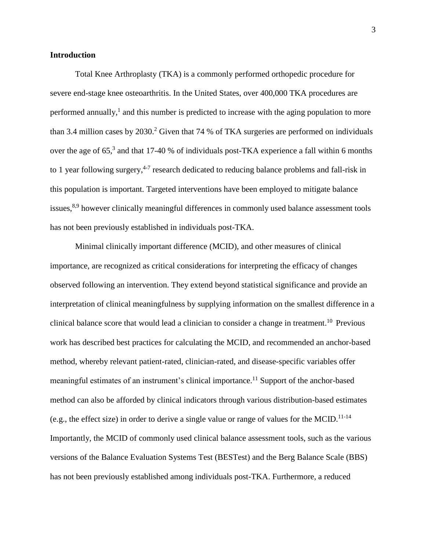## **Introduction**

Total Knee Arthroplasty (TKA) is a commonly performed orthopedic procedure for severe end-stage knee osteoarthritis. In the United States, over 400,000 TKA procedures are performed annually,<sup>1</sup> and this number is predicted to increase with the aging population to more than 3.4 million cases by 2030.<sup>2</sup> Given that 74 % of TKA surgeries are performed on individuals over the age of 65,<sup>3</sup> and that 17-40 % of individuals post-TKA experience a fall within 6 months to 1 year following surgery,<sup>4-7</sup> research dedicated to reducing balance problems and fall-risk in this population is important. Targeted interventions have been employed to mitigate balance issues,<sup>8,9</sup> however clinically meaningful differences in commonly used balance assessment tools has not been previously established in individuals post-TKA.

Minimal clinically important difference (MCID), and other measures of clinical importance, are recognized as critical considerations for interpreting the efficacy of changes observed following an intervention. They extend beyond statistical significance and provide an interpretation of clinical meaningfulness by supplying information on the smallest difference in a clinical balance score that would lead a clinician to consider a change in treatment. <sup>10</sup> Previous work has described best practices for calculating the MCID, and recommended an anchor-based method, whereby relevant patient-rated, clinician-rated, and disease-specific variables offer meaningful estimates of an instrument's clinical importance.<sup>11</sup> Support of the anchor-based method can also be afforded by clinical indicators through various distribution-based estimates (e.g., the effect size) in order to derive a single value or range of values for the MCID.<sup>11-14</sup> Importantly, the MCID of commonly used clinical balance assessment tools, such as the various versions of the Balance Evaluation Systems Test (BESTest) and the Berg Balance Scale (BBS) has not been previously established among individuals post-TKA. Furthermore, a reduced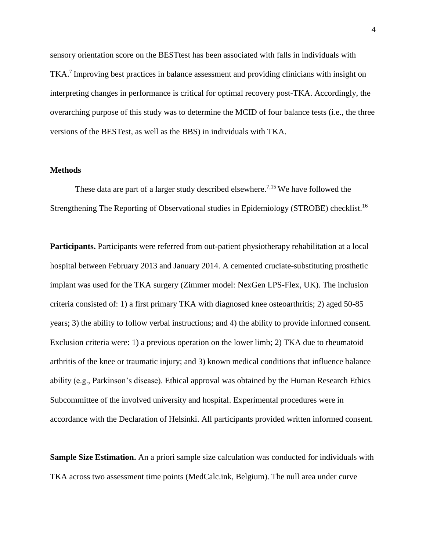sensory orientation score on the BESTtest has been associated with falls in individuals with TKA.<sup>7</sup> Improving best practices in balance assessment and providing clinicians with insight on interpreting changes in performance is critical for optimal recovery post-TKA. Accordingly, the overarching purpose of this study was to determine the MCID of four balance tests (i.e., the three versions of the BESTest, as well as the BBS) in individuals with TKA.

## **Methods**

These data are part of a larger study described elsewhere.<sup>7,15</sup> We have followed the Strengthening The Reporting of Observational studies in Epidemiology (STROBE) checklist.<sup>16</sup>

**Participants.** Participants were referred from out-patient physiotherapy rehabilitation at a local hospital between February 2013 and January 2014. A cemented cruciate-substituting prosthetic implant was used for the TKA surgery (Zimmer model: NexGen LPS-Flex, UK). The inclusion criteria consisted of: 1) a first primary TKA with diagnosed knee osteoarthritis; 2) aged 50-85 years; 3) the ability to follow verbal instructions; and 4) the ability to provide informed consent. Exclusion criteria were: 1) a previous operation on the lower limb; 2) TKA due to rheumatoid arthritis of the knee or traumatic injury; and 3) known medical conditions that influence balance ability (e.g., Parkinson's disease). Ethical approval was obtained by the Human Research Ethics Subcommittee of the involved university and hospital. Experimental procedures were in accordance with the Declaration of Helsinki. All participants provided written informed consent.

**Sample Size Estimation.** An a priori sample size calculation was conducted for individuals with TKA across two assessment time points (MedCalc.ink, Belgium). The null area under curve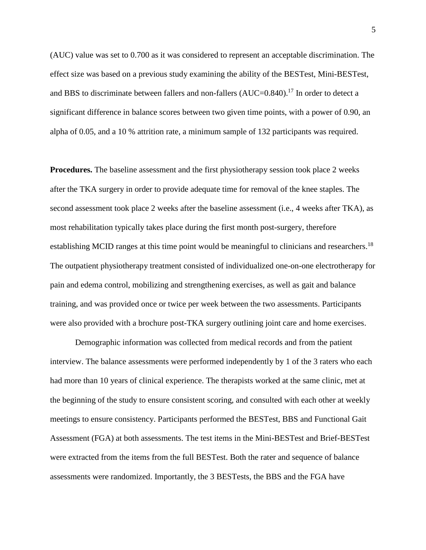(AUC) value was set to 0.700 as it was considered to represent an acceptable discrimination. The effect size was based on a previous study examining the ability of the BESTest, Mini-BESTest, and BBS to discriminate between fallers and non-fallers (AUC=0.840).<sup>17</sup> In order to detect a significant difference in balance scores between two given time points, with a power of 0.90, an alpha of 0.05, and a 10 % attrition rate, a minimum sample of 132 participants was required.

**Procedures.** The baseline assessment and the first physiotherapy session took place 2 weeks after the TKA surgery in order to provide adequate time for removal of the knee staples. The second assessment took place 2 weeks after the baseline assessment (i.e., 4 weeks after TKA), as most rehabilitation typically takes place during the first month post-surgery, therefore establishing MCID ranges at this time point would be meaningful to clinicians and researchers.<sup>18</sup> The outpatient physiotherapy treatment consisted of individualized one-on-one electrotherapy for pain and edema control, mobilizing and strengthening exercises, as well as gait and balance training, and was provided once or twice per week between the two assessments. Participants were also provided with a brochure post-TKA surgery outlining joint care and home exercises.

Demographic information was collected from medical records and from the patient interview. The balance assessments were performed independently by 1 of the 3 raters who each had more than 10 years of clinical experience. The therapists worked at the same clinic, met at the beginning of the study to ensure consistent scoring, and consulted with each other at weekly meetings to ensure consistency. Participants performed the BESTest, BBS and Functional Gait Assessment (FGA) at both assessments. The test items in the Mini-BESTest and Brief-BESTest were extracted from the items from the full BESTest. Both the rater and sequence of balance assessments were randomized. Importantly, the 3 BESTests, the BBS and the FGA have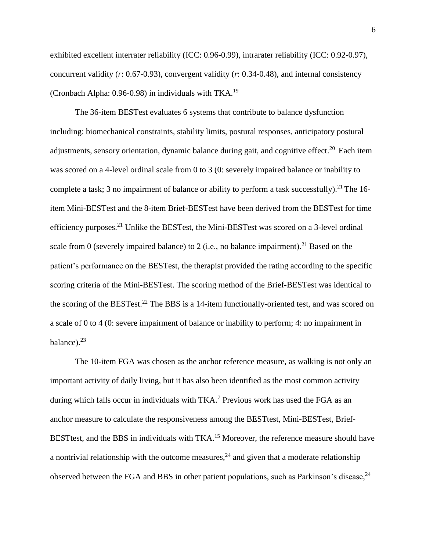exhibited excellent interrater reliability (ICC: 0.96-0.99), intrarater reliability (ICC: 0.92-0.97), concurrent validity (*r*: 0.67-0.93), convergent validity (*r*: 0.34-0.48), and internal consistency (Cronbach Alpha: 0.96-0.98) in individuals with TKA.<sup>19</sup>

The 36-item BESTest evaluates 6 systems that contribute to balance dysfunction including: biomechanical constraints, stability limits, postural responses, anticipatory postural adjustments, sensory orientation, dynamic balance during gait, and cognitive effect.<sup>20</sup> Each item was scored on a 4-level ordinal scale from 0 to 3 (0: severely impaired balance or inability to complete a task; 3 no impairment of balance or ability to perform a task successfully).<sup>21</sup> The 16item Mini-BESTest and the 8-item Brief-BESTest have been derived from the BESTest for time efficiency purposes.<sup>21</sup> Unlike the BESTest, the Mini-BESTest was scored on a 3-level ordinal scale from 0 (severely impaired balance) to 2 (i.e., no balance impairment).<sup>21</sup> Based on the patient's performance on the BESTest, the therapist provided the rating according to the specific scoring criteria of the Mini-BESTest. The scoring method of the Brief-BESTest was identical to the scoring of the BESTest.<sup>22</sup> The BBS is a 14-item functionally-oriented test, and was scored on a scale of 0 to 4 (0: severe impairment of balance or inability to perform; 4: no impairment in balance).<sup>23</sup>

The 10-item FGA was chosen as the anchor reference measure, as walking is not only an important activity of daily living, but it has also been identified as the most common activity during which falls occur in individuals with TKA.<sup>7</sup> Previous work has used the FGA as an anchor measure to calculate the responsiveness among the BESTtest, Mini-BESTest, Brief-BESTtest, and the BBS in individuals with TKA.<sup>15</sup> Moreover, the reference measure should have a nontrivial relationship with the outcome measures,  $24$  and given that a moderate relationship observed between the FGA and BBS in other patient populations, such as Parkinson's disease,  $24$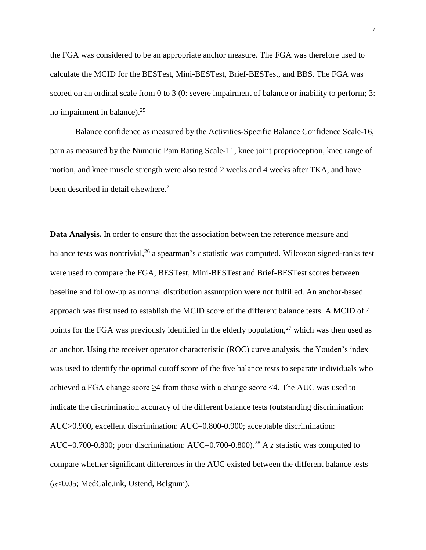the FGA was considered to be an appropriate anchor measure. The FGA was therefore used to calculate the MCID for the BESTest, Mini-BESTest, Brief-BESTest, and BBS. The FGA was scored on an ordinal scale from 0 to 3 (0: severe impairment of balance or inability to perform; 3: no impairment in balance).<sup>25</sup>

Balance confidence as measured by the Activities-Specific Balance Confidence Scale-16, pain as measured by the Numeric Pain Rating Scale-11, knee joint proprioception, knee range of motion, and knee muscle strength were also tested 2 weeks and 4 weeks after TKA, and have been described in detail elsewhere.<sup>7</sup>

**Data Analysis.** In order to ensure that the association between the reference measure and balance tests was nontrivial, 26 a spearman's *r* statistic was computed. Wilcoxon signed-ranks test were used to compare the FGA, BESTest, Mini-BESTest and Brief-BESTest scores between baseline and follow-up as normal distribution assumption were not fulfilled. An anchor-based approach was first used to establish the MCID score of the different balance tests. A MCID of 4 points for the FGA was previously identified in the elderly population,<sup>27</sup> which was then used as an anchor. Using the receiver operator characteristic (ROC) curve analysis, the Youden's index was used to identify the optimal cutoff score of the five balance tests to separate individuals who achieved a FGA change score ≥4 from those with a change score <4. The AUC was used to indicate the discrimination accuracy of the different balance tests (outstanding discrimination: AUC>0.900, excellent discrimination: AUC=0.800-0.900; acceptable discrimination: AUC=0.700-0.800; poor discrimination: AUC=0.700-0.800). <sup>28</sup> A *z* statistic was computed to compare whether significant differences in the AUC existed between the different balance tests (*α*<0.05; MedCalc.ink, Ostend, Belgium).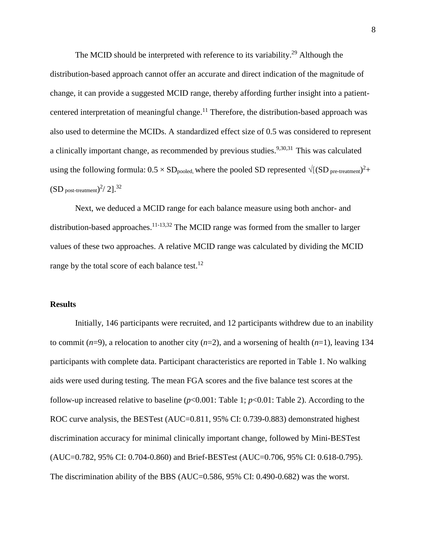The MCID should be interpreted with reference to its variability.<sup>29</sup> Although the distribution-based approach cannot offer an accurate and direct indication of the magnitude of change, it can provide a suggested MCID range, thereby affording further insight into a patientcentered interpretation of meaningful change.<sup>11</sup> Therefore, the distribution-based approach was also used to determine the MCIDs. A standardized effect size of 0.5 was considered to represent a clinically important change, as recommended by previous studies.<sup>9,30,31</sup> This was calculated using the following formula:  $0.5 \times SD_{pooled}$ , where the pooled SD represented  $\sqrt{[(SD_{pre-treatment})^2 +]}$  $\text{(SD post-treatment)}^2/2$ ].<sup>32</sup>

Next, we deduced a MCID range for each balance measure using both anchor- and distribution-based approaches.<sup>11-13,32</sup> The MCID range was formed from the smaller to larger values of these two approaches. A relative MCID range was calculated by dividing the MCID range by the total score of each balance test.<sup>12</sup>

### **Results**

Initially, 146 participants were recruited, and 12 participants withdrew due to an inability to commit (*n*=9), a relocation to another city (*n*=2), and a worsening of health (*n*=1), leaving 134 participants with complete data. Participant characteristics are reported in Table 1. No walking aids were used during testing. The mean FGA scores and the five balance test scores at the follow-up increased relative to baseline  $(p<0.001$ : Table 1;  $p<0.01$ : Table 2). According to the ROC curve analysis, the BESTest (AUC=0.811, 95% CI: 0.739-0.883) demonstrated highest discrimination accuracy for minimal clinically important change, followed by Mini-BESTest (AUC=0.782, 95% CI: 0.704-0.860) and Brief-BESTest (AUC=0.706, 95% CI: 0.618-0.795). The discrimination ability of the BBS (AUC=0.586, 95% CI: 0.490-0.682) was the worst.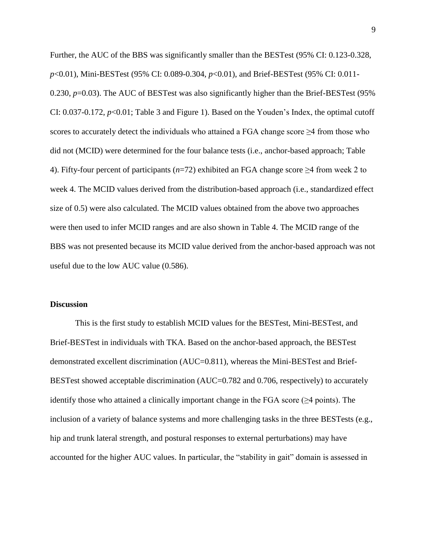Further, the AUC of the BBS was significantly smaller than the BESTest (95% CI: 0.123-0.328, *p*<0.01), Mini-BESTest (95% CI: 0.089-0.304, *p*<0.01), and Brief-BESTest (95% CI: 0.011- 0.230, *p*=0.03). The AUC of BESTest was also significantly higher than the Brief-BESTest (95%) CI: 0.037-0.172, *p*<0.01; Table 3 and Figure 1). Based on the Youden's Index, the optimal cutoff scores to accurately detect the individuals who attained a FGA change score  $\geq$ 4 from those who did not (MCID) were determined for the four balance tests (i.e., anchor-based approach; Table 4). Fifty-four percent of participants (*n*=72) exhibited an FGA change score ≥4 from week 2 to week 4. The MCID values derived from the distribution-based approach (i.e., standardized effect size of 0.5) were also calculated. The MCID values obtained from the above two approaches were then used to infer MCID ranges and are also shown in Table 4. The MCID range of the BBS was not presented because its MCID value derived from the anchor-based approach was not useful due to the low AUC value (0.586).

### **Discussion**

This is the first study to establish MCID values for the BESTest, Mini-BESTest, and Brief-BESTest in individuals with TKA. Based on the anchor-based approach, the BESTest demonstrated excellent discrimination (AUC=0.811), whereas the Mini-BESTest and Brief-BESTest showed acceptable discrimination (AUC=0.782 and 0.706, respectively) to accurately identify those who attained a clinically important change in the FGA score  $(\geq 4$  points). The inclusion of a variety of balance systems and more challenging tasks in the three BESTests (e.g., hip and trunk lateral strength, and postural responses to external perturbations) may have accounted for the higher AUC values. In particular, the "stability in gait" domain is assessed in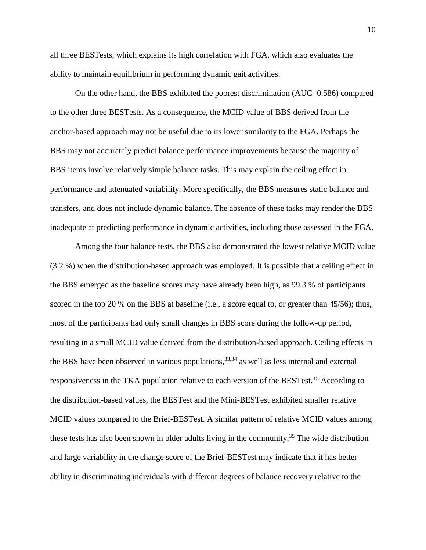all three BESTests, which explains its high correlation with FGA, which also evaluates the ability to maintain equilibrium in performing dynamic gait activities.

On the other hand, the BBS exhibited the poorest discrimination (AUC=0.586) compared to the other three BESTests. As a consequence, the MCID value of BBS derived from the anchor-based approach may not be useful due to its lower similarity to the FGA. Perhaps the BBS may not accurately predict balance performance improvements because the majority of BBS items involve relatively simple balance tasks. This may explain the ceiling effect in performance and attenuated variability. More specifically, the BBS measures static balance and transfers, and does not include dynamic balance. The absence of these tasks may render the BBS inadequate at predicting performance in dynamic activities, including those assessed in the FGA.

Among the four balance tests, the BBS also demonstrated the lowest relative MCID value (3.2 %) when the distribution-based approach was employed. It is possible that a ceiling effect in the BBS emerged as the baseline scores may have already been high, as 99.3 % of participants scored in the top 20 % on the BBS at baseline (i.e., a score equal to, or greater than 45/56); thus, most of the participants had only small changes in BBS score during the follow-up period, resulting in a small MCID value derived from the distribution-based approach. Ceiling effects in the BBS have been observed in various populations,<sup>33,34</sup> as well as less internal and external responsiveness in the TKA population relative to each version of the BESTest.<sup>15</sup> According to the distribution-based values, the BESTest and the Mini-BESTest exhibited smaller relative MCID values compared to the Brief-BESTest. A similar pattern of relative MCID values among these tests has also been shown in older adults living in the community.<sup>35</sup> The wide distribution and large variability in the change score of the Brief-BESTest may indicate that it has better ability in discriminating individuals with different degrees of balance recovery relative to the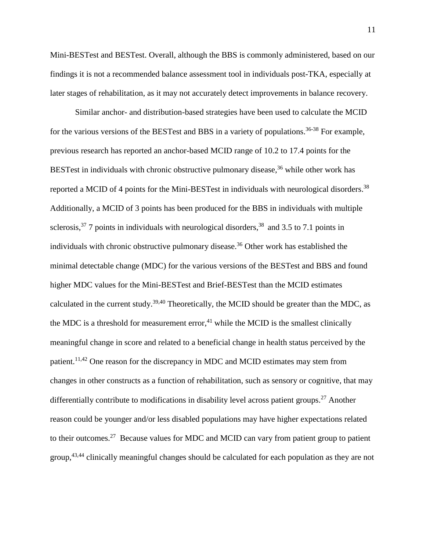Mini-BESTest and BESTest. Overall, although the BBS is commonly administered, based on our findings it is not a recommended balance assessment tool in individuals post-TKA, especially at later stages of rehabilitation, as it may not accurately detect improvements in balance recovery.

Similar anchor- and distribution-based strategies have been used to calculate the MCID for the various versions of the BESTest and BBS in a variety of populations.<sup>36-38</sup> For example, previous research has reported an anchor-based MCID range of 10.2 to 17.4 points for the BESTest in individuals with chronic obstructive pulmonary disease, <sup>36</sup> while other work has reported a MCID of 4 points for the Mini-BESTest in individuals with neurological disorders.<sup>38</sup> Additionally, a MCID of 3 points has been produced for the BBS in individuals with multiple sclerosis,  $37$  7 points in individuals with neurological disorders,  $38$  and 3.5 to 7.1 points in individuals with chronic obstructive pulmonary disease. <sup>36</sup> Other work has established the minimal detectable change (MDC) for the various versions of the BESTest and BBS and found higher MDC values for the Mini-BESTest and Brief-BESTest than the MCID estimates calculated in the current study.<sup>39,40</sup> Theoretically, the MCID should be greater than the MDC, as the MDC is a threshold for measurement error,<sup>41</sup> while the MCID is the smallest clinically meaningful change in score and related to a beneficial change in health status perceived by the patient.<sup>11,42</sup> One reason for the discrepancy in MDC and MCID estimates may stem from changes in other constructs as a function of rehabilitation, such as sensory or cognitive, that may differentially contribute to modifications in disability level across patient groups.<sup>27</sup> Another reason could be younger and/or less disabled populations may have higher expectations related to their outcomes.<sup>27</sup> Because values for MDC and MCID can vary from patient group to patient group,43,44 clinically meaningful changes should be calculated for each population as they are not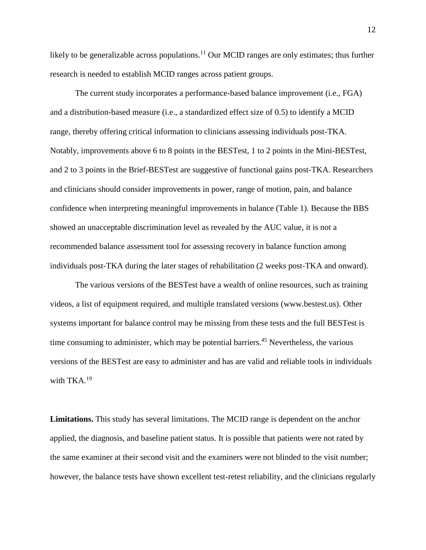likely to be generalizable across populations.<sup>11</sup> Our MCID ranges are only estimates; thus further research is needed to establish MCID ranges across patient groups.

The current study incorporates a performance-based balance improvement (i.e., FGA) and a distribution-based measure (i.e., a standardized effect size of 0.5) to identify a MCID range, thereby offering critical information to clinicians assessing individuals post-TKA. Notably, improvements above 6 to 8 points in the BESTest, 1 to 2 points in the Mini-BESTest, and 2 to 3 points in the Brief-BESTest are suggestive of functional gains post-TKA. Researchers and clinicians should consider improvements in power, range of motion, pain, and balance confidence when interpreting meaningful improvements in balance (Table 1). Because the BBS showed an unacceptable discrimination level as revealed by the AUC value, it is not a recommended balance assessment tool for assessing recovery in balance function among individuals post-TKA during the later stages of rehabilitation (2 weeks post-TKA and onward).

The various versions of the BESTest have a wealth of online resources, such as training videos, a list of equipment required, and multiple translated versions [\(www.bestest.us\)](http://www.bestest.us/). Other systems important for balance control may be missing from these tests and the full BESTest is time consuming to administer, which may be potential barriers. <sup>45</sup> Nevertheless, the various versions of the BESTest are easy to administer and has are valid and reliable tools in individuals with TKA.<sup>19</sup>

**Limitations.** This study has several limitations. The MCID range is dependent on the anchor applied, the diagnosis, and baseline patient status. It is possible that patients were not rated by the same examiner at their second visit and the examiners were not blinded to the visit number; however, the balance tests have shown excellent test-retest reliability, and the clinicians regularly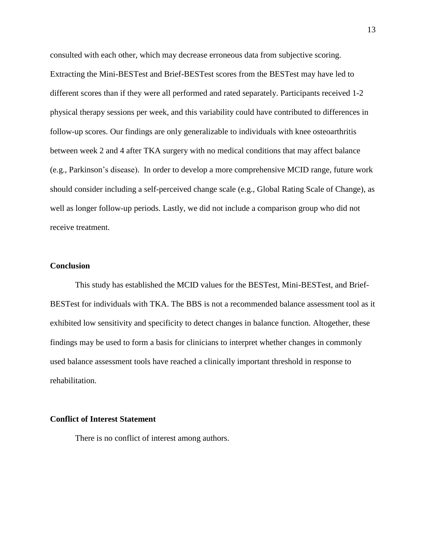consulted with each other, which may decrease erroneous data from subjective scoring. Extracting the Mini-BESTest and Brief-BESTest scores from the BESTest may have led to different scores than if they were all performed and rated separately. Participants received 1-2 physical therapy sessions per week, and this variability could have contributed to differences in follow-up scores. Our findings are only generalizable to individuals with knee osteoarthritis between week 2 and 4 after TKA surgery with no medical conditions that may affect balance (e.g., Parkinson's disease). In order to develop a more comprehensive MCID range, future work should consider including a self-perceived change scale (e.g., Global Rating Scale of Change), as well as longer follow-up periods. Lastly, we did not include a comparison group who did not receive treatment.

#### **Conclusion**

This study has established the MCID values for the BESTest, Mini-BESTest, and Brief-BESTest for individuals with TKA. The BBS is not a recommended balance assessment tool as it exhibited low sensitivity and specificity to detect changes in balance function. Altogether, these findings may be used to form a basis for clinicians to interpret whether changes in commonly used balance assessment tools have reached a clinically important threshold in response to rehabilitation.

## **Conflict of Interest Statement**

There is no conflict of interest among authors.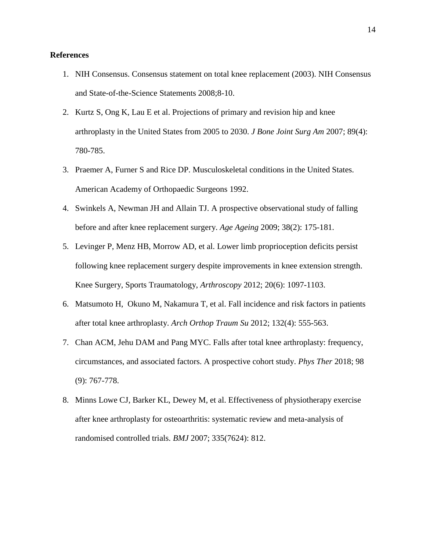# **References**

- 1. NIH Consensus. Consensus statement on total knee replacement (2003). NIH Consensus and State-of-the-Science Statements 2008;8-10.
- 2. [Kurtz S,](https://www.ncbi.nlm.nih.gov/pubmed/?term=Kurtz%20S%5BAuthor%5D&cauthor=true&cauthor_uid=17403800) [Ong K,](https://www.ncbi.nlm.nih.gov/pubmed/?term=Ong%20K%5BAuthor%5D&cauthor=true&cauthor_uid=17403800) [Lau E](https://www.ncbi.nlm.nih.gov/pubmed/?term=Lau%20E%5BAuthor%5D&cauthor=true&cauthor_uid=17403800) et al. Projections of primary and revision hip and knee arthroplasty in the United States from 2005 to 2030. *J Bone Joint Surg Am* 2007; 89(4): 780-785.
- 3. Praemer A, Furner S and Rice DP. Musculoskeletal conditions in the United States. American Academy of Orthopaedic Surgeons 1992.
- 4. Swinkels A, Newman JH and Allain TJ. A prospective observational study of falling before and after knee replacement surgery. *Age Ageing* 2009; 38(2): 175-181.
- 5. Levinger P, [Menz HB,](https://www.ncbi.nlm.nih.gov/pubmed/?term=Menz%20HB%5BAuthor%5D&cauthor=true&cauthor_uid=22005965) [Morrow AD,](https://www.ncbi.nlm.nih.gov/pubmed/?term=Morrow%20AD%5BAuthor%5D&cauthor=true&cauthor_uid=22005965) et al. Lower limb proprioception deficits persist following knee replacement surgery despite improvements in knee extension strength. Knee Surgery, Sports Traumatology, *Arthroscopy* 2012; 20(6): 1097-1103.
- 6. Matsumoto H, [Okuno M,](https://www.ncbi.nlm.nih.gov/pubmed/?term=Okuno%20M%5BAuthor%5D&cauthor=true&cauthor_uid=22089514) [Nakamura T,](https://www.ncbi.nlm.nih.gov/pubmed/?term=Nakamura%20T%5BAuthor%5D&cauthor=true&cauthor_uid=22089514) et al. Fall incidence and risk factors in patients after total knee arthroplasty. *Arch Orthop Traum Su* 2012; 132(4): 555-563.
- 7. Chan ACM, Jehu DAM and Pang MYC. Falls after total knee arthroplasty: frequency, circumstances, and associated factors. A prospective cohort study. *Phys Ther* 2018; 98 (9): 767-778.
- 8. [Minns Lowe CJ,](https://www.ncbi.nlm.nih.gov/pubmed/?term=Minns%20Lowe%20CJ%5BAuthor%5D&cauthor=true&cauthor_uid=17884861) [Barker KL,](https://www.ncbi.nlm.nih.gov/pubmed/?term=Barker%20KL%5BAuthor%5D&cauthor=true&cauthor_uid=17884861) [Dewey M,](https://www.ncbi.nlm.nih.gov/pubmed/?term=Dewey%20M%5BAuthor%5D&cauthor=true&cauthor_uid=17884861) et al. Effectiveness of physiotherapy exercise after knee arthroplasty for osteoarthritis: systematic review and meta-analysis of randomised controlled trials. *BMJ* 2007; 335(7624): 812.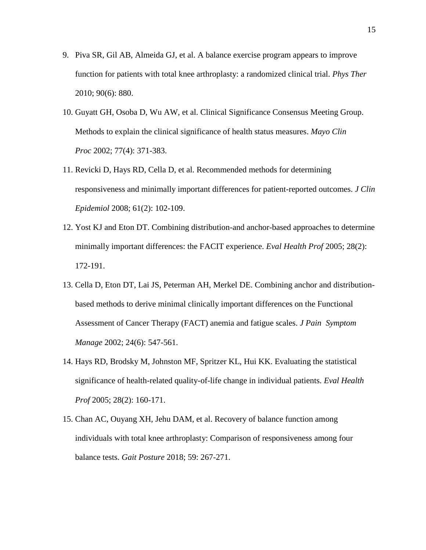- 9. [Piva SR,](https://www.ncbi.nlm.nih.gov/pubmed/?term=Piva%20SR%5BAuthor%5D&cauthor=true&cauthor_uid=20378678) [Gil AB,](https://www.ncbi.nlm.nih.gov/pubmed/?term=Gil%20AB%5BAuthor%5D&cauthor=true&cauthor_uid=20378678) [Almeida GJ,](https://www.ncbi.nlm.nih.gov/pubmed/?term=Almeida%20GJ%5BAuthor%5D&cauthor=true&cauthor_uid=20378678) et al. A balance exercise program appears to improve function for patients with total knee arthroplasty: a randomized clinical trial. *Phys Ther* 2010; 90(6): 880.
- 10. [Guyatt](https://www.ncbi.nlm.nih.gov/pubmed/?term=Guyatt%20GH%5BAuthor%5D&cauthor=true&cauthor_uid=11936935) GH, [Osoba D,](https://www.ncbi.nlm.nih.gov/pubmed/?term=Osoba%20D%5BAuthor%5D&cauthor=true&cauthor_uid=11936935) [Wu AW,](https://www.ncbi.nlm.nih.gov/pubmed/?term=Wu%20AW%5BAuthor%5D&cauthor=true&cauthor_uid=11936935) et al. Clinical Significance [Consensus Meeting Group.](https://www.ncbi.nlm.nih.gov/pubmed/?term=Clinical%20Significance%20Consensus%20Meeting%20Group%5BCorporate%20Author%5D) Methods to explain the clinical significance of health status measures. *[Mayo Clin](https://www.ncbi.nlm.nih.gov/pubmed/?term=Methods+to+explain+the+clinical+significance+of+health+status+measures.+in+Mayo+Clinic+Proceedings.)  [Proc](https://www.ncbi.nlm.nih.gov/pubmed/?term=Methods+to+explain+the+clinical+significance+of+health+status+measures.+in+Mayo+Clinic+Proceedings.)* 2002; 77(4): 371-383.
- 11. Revicki D, [Hays RD,](https://www.ncbi.nlm.nih.gov/pubmed/?term=Hays%20RD%5BAuthor%5D&cauthor=true&cauthor_uid=18177782) [Cella D,](https://www.ncbi.nlm.nih.gov/pubmed/?term=Cella%20D%5BAuthor%5D&cauthor=true&cauthor_uid=18177782) et al. Recommended methods for determining responsiveness and minimally important differences for patient-reported outcomes. *J Clin Epidemiol* 2008; 61(2): 102-109.
- 12. Yost KJ and Eton DT. Combining distribution-and anchor-based approaches to determine minimally important differences: the FACIT experience. *Eval Health Prof* 2005; 28(2): 172-191.
- 13. Cella D, [Eton DT,](https://www.ncbi.nlm.nih.gov/pubmed/?term=Eton%20DT%5BAuthor%5D&cauthor=true&cauthor_uid=12551804) [Lai JS,](https://www.ncbi.nlm.nih.gov/pubmed/?term=Lai%20JS%5BAuthor%5D&cauthor=true&cauthor_uid=12551804) [Peterman AH,](https://www.ncbi.nlm.nih.gov/pubmed/?term=Peterman%20AH%5BAuthor%5D&cauthor=true&cauthor_uid=12551804) [Merkel DE.](https://www.ncbi.nlm.nih.gov/pubmed/?term=Merkel%20DE%5BAuthor%5D&cauthor=true&cauthor_uid=12551804) Combining anchor and distributionbased methods to derive minimal clinically important differences on the Functional Assessment of Cancer Therapy (FACT) anemia and fatigue scales. *J Pain Symptom Manage* 2002; 24(6): 547-561.
- 14. Hays RD, [Brodsky M,](https://www.ncbi.nlm.nih.gov/pubmed/?term=Brodsky%20M%5BAuthor%5D&cauthor=true&cauthor_uid=15851771) [Johnston MF,](https://www.ncbi.nlm.nih.gov/pubmed/?term=Johnston%20MF%5BAuthor%5D&cauthor=true&cauthor_uid=15851771) [Spritzer KL,](https://www.ncbi.nlm.nih.gov/pubmed/?term=Spritzer%20KL%5BAuthor%5D&cauthor=true&cauthor_uid=15851771) [Hui KK.](https://www.ncbi.nlm.nih.gov/pubmed/?term=Hui%20KK%5BAuthor%5D&cauthor=true&cauthor_uid=15851771) Evaluating the statistical significance of health-related quality-of-life change in individual patients. *Eval Health Prof* 2005; 28(2): 160-171.
- 15. Chan AC, [Ouyang XH,](https://www.ncbi.nlm.nih.gov/pubmed/?term=Ouyang%20XH%5BAuthor%5D&cauthor=true&cauthor_uid=29121594) [Jehu DAM,](https://www.ncbi.nlm.nih.gov/pubmed/?term=Jehu%20DAM%5BAuthor%5D&cauthor=true&cauthor_uid=29121594) et al. Recovery of balance function among individuals with total knee arthroplasty: Comparison of responsiveness among four balance tests. *Gait Posture* 2018; 59: 267-271.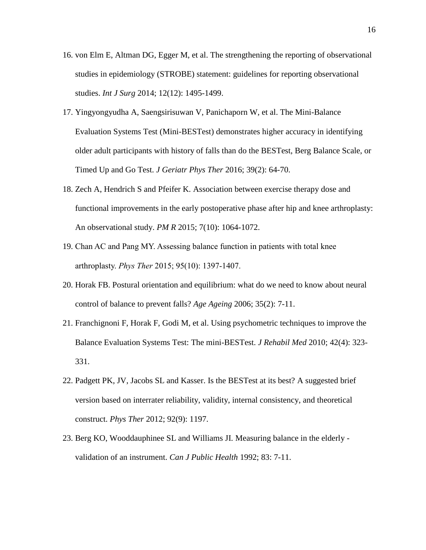- 16. [von Elm E,](https://www-ncbi-nlm-nih-gov.ezproxy.library.ubc.ca/pubmed/?term=von%20Elm%20E%5BAuthor%5D&cauthor=true&cauthor_uid=25046131) [Altman DG,](https://www-ncbi-nlm-nih-gov.ezproxy.library.ubc.ca/pubmed/?term=Altman%20DG%5BAuthor%5D&cauthor=true&cauthor_uid=25046131) [Egger M,](https://www-ncbi-nlm-nih-gov.ezproxy.library.ubc.ca/pubmed/?term=Egger%20M%5BAuthor%5D&cauthor=true&cauthor_uid=25046131) et al. The strengthening the reporting of observational studies in epidemiology (STROBE) statement: guidelines for reporting observational studies. *[Int J Surg](https://www-ncbi-nlm-nih-gov.ezproxy.library.ubc.ca/pubmed/25046131)* 2014; 12(12): 1495-1499.
- 17. Yingyongyudha A, [Saengsirisuwan V,](https://www.ncbi.nlm.nih.gov/pubmed/?term=Saengsirisuwan%20V%5BAuthor%5D&cauthor=true&cauthor_uid=25794308) [Panichaporn W,](https://www.ncbi.nlm.nih.gov/pubmed/?term=Panichaporn%20W%5BAuthor%5D&cauthor=true&cauthor_uid=25794308) et al. The Mini-Balance Evaluation Systems Test (Mini-BESTest) demonstrates higher accuracy in identifying older adult participants with history of falls than do the BESTest, Berg Balance Scale, or Timed Up and Go Test. *J Geriatr Phys Ther* 2016; 39(2): 64-70.
- 18. Zech A, Hendrich S and Pfeifer K. Association between exercise therapy dose and functional improvements in the early postoperative phase after hip and knee arthroplasty: An observational study. *PM R* 2015; 7(10): 1064-1072.
- 19. Chan AC and Pang MY. Assessing balance function in patients with total knee arthroplasty. *Phys Ther* 2015; 95(10): 1397-1407.
- 20. Horak FB. Postural orientation and equilibrium: what do we need to know about neural control of balance to prevent falls? *Age Ageing* 2006; 35(2): 7-11.
- 21. Franchignoni F, [Horak F,](https://www.ncbi.nlm.nih.gov/pubmed/?term=Horak%20F%5BAuthor%5D&cauthor=true&cauthor_uid=20461334) [Godi M,](https://www.ncbi.nlm.nih.gov/pubmed/?term=Godi%20M%5BAuthor%5D&cauthor=true&cauthor_uid=20461334) et al. Using psychometric techniques to improve the Balance Evaluation Systems Test: The mini-BESTest. *J Rehabil Med* 2010; 42(4): 323- 331.
- 22. Padgett PK, JV, Jacobs SL and Kasser. Is the BESTest at its best? A suggested brief version based on interrater reliability, validity, internal consistency, and theoretical construct. *Phys Ther* 2012; 92(9): 1197.
- 23. Berg KO, Wooddauphinee SL and Williams JI. Measuring balance in the elderly validation of an instrument. *Can J Public Health* 1992; 83: 7-11.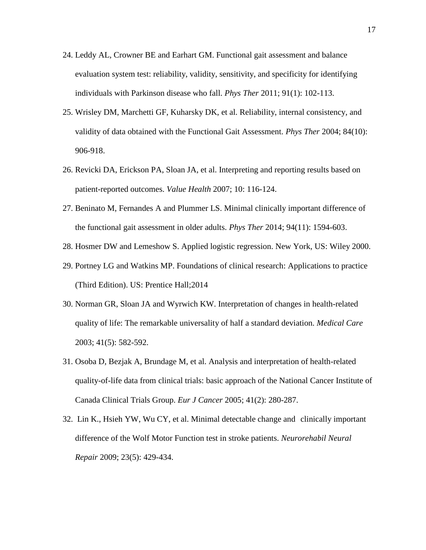- 24. Leddy AL, Crowner BE and Earhart GM. Functional gait assessment and balance evaluation system test: reliability, validity, sensitivity, and specificity for identifying individuals with Parkinson disease who fall. *Phys Ther* 2011; 91(1): 102-113.
- 25. Wrisley DM, [Marchetti GF,](https://www.ncbi.nlm.nih.gov/pubmed/?term=Marchetti%20GF%5BAuthor%5D&cauthor=true&cauthor_uid=15449976) [Kuharsky DK,](https://www.ncbi.nlm.nih.gov/pubmed/?term=Kuharsky%20DK%5BAuthor%5D&cauthor=true&cauthor_uid=15449976) et al. Reliability, internal consistency, and validity of data obtained with the Functional Gait Assessment. *Phys Ther* 2004; 84(10): 906-918.
- 26. Revicki DA, [Erickson PA,](https://www.ncbi.nlm.nih.gov/pubmed/?term=Erickson%20PA%5BAuthor%5D&cauthor=true&cauthor_uid=17995470) [Sloan JA,](https://www.ncbi.nlm.nih.gov/pubmed/?term=Sloan%20JA%5BAuthor%5D&cauthor=true&cauthor_uid=17995470) et al. Interpreting and reporting results based on patient-reported outcomes. *Value Health* 2007; 10: 116-124.
- 27. Beninato M, Fernandes A and Plummer LS. Minimal clinically important difference of the functional gait assessment in older adults. *Phys Ther* 2014; 94(11): 1594-603.
- 28. Hosmer DW and Lemeshow S. Applied logistic regression. New York, US: Wiley 2000.
- 29. Portney LG and Watkins MP. Foundations of clinical research: Applications to practice (Third Edition). US: Prentice Hall;2014
- 30. Norman GR, Sloan JA and Wyrwich KW. Interpretation of changes in health-related quality of life: The remarkable universality of half a standard deviation. *Medical Care*  2003; 41(5): 582-592.
- 31. Osoba D, [Bezjak A,](https://www.ncbi.nlm.nih.gov/pubmed/?term=Bezjak%20A%5BAuthor%5D&cauthor=true&cauthor_uid=15661554) [Brundage M,](https://www.ncbi.nlm.nih.gov/pubmed/?term=Brundage%20M%5BAuthor%5D&cauthor=true&cauthor_uid=15661554) et al. Analysis and interpretation of health-related quality-of-life data from clinical trials: basic approach of the National Cancer Institute of Canada Clinical Trials Group. *Eur J Cancer* 2005; 41(2): 280-287.
- 32. Lin K., [Hsieh YW,](https://www.ncbi.nlm.nih.gov/pubmed/?term=Hsieh%20YW%5BAuthor%5D&cauthor=true&cauthor_uid=19289487) [Wu CY,](https://www.ncbi.nlm.nih.gov/pubmed/?term=Wu%20CY%5BAuthor%5D&cauthor=true&cauthor_uid=19289487) et al. Minimal detectable change and clinically important difference of the Wolf Motor Function test in stroke patients. *Neurorehabil Neural Repair* 2009; 23(5): 429-434.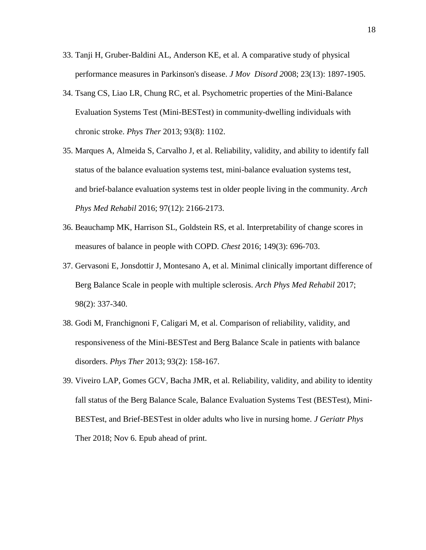- 33. Tanji H, [Gruber-Baldini AL,](https://www.ncbi.nlm.nih.gov/pubmed/?term=Gruber-Baldini%20AL%5BAuthor%5D&cauthor=true&cauthor_uid=18709681) [Anderson KE,](https://www.ncbi.nlm.nih.gov/pubmed/?term=Anderson%20KE%5BAuthor%5D&cauthor=true&cauthor_uid=18709681) et al. A comparative study of physical performance measures in Parkinson's disease. *J Mov Disord 2*008; 23(13): 1897-1905.
- 34. Tsang CS, [Liao LR,](https://www.ncbi.nlm.nih.gov/pubmed/?term=Liao%20LR%5BAuthor%5D&cauthor=true&cauthor_uid=23559522) [Chung RC,](https://www.ncbi.nlm.nih.gov/pubmed/?term=Chung%20RC%5BAuthor%5D&cauthor=true&cauthor_uid=23559522) et al. Psychometric properties of the Mini-Balance Evaluation Systems Test (Mini-BESTest) in community-dwelling individuals with chronic stroke. *Phys Ther* 2013; 93(8): 1102.
- 35. [Marques A,](https://www.ncbi.nlm.nih.gov/pubmed/?term=Marques%20A%5BAuthor%5D&cauthor=true&cauthor_uid=27497826) [Almeida S,](https://www.ncbi.nlm.nih.gov/pubmed/?term=Almeida%20S%5BAuthor%5D&cauthor=true&cauthor_uid=27497826) [Carvalho J,](https://www.ncbi.nlm.nih.gov/pubmed/?term=Carvalho%20J%5BAuthor%5D&cauthor=true&cauthor_uid=27497826) et al. Reliability, validity, and ability to identify fall status of the balance evaluation systems test, mini-balance evaluation systems test, and brief-balance evaluation systems test in older people living in the community. *[Arch](https://www.ncbi.nlm.nih.gov/pubmed/27497826)  [Phys Med Rehabil](https://www.ncbi.nlm.nih.gov/pubmed/27497826)* 2016; 97(12): 2166-2173.
- 36. Beauchamp MK, [Harrison SL,](https://www.ncbi.nlm.nih.gov/pubmed/?term=Harrison%20SL%5BAuthor%5D&cauthor=true&cauthor_uid=26203790) [Goldstein RS,](https://www.ncbi.nlm.nih.gov/pubmed/?term=Goldstein%20RS%5BAuthor%5D&cauthor=true&cauthor_uid=26203790) et al. Interpretability of change scores in measures of balance in people with COPD. *Chest* 2016; 149(3): 696-703.
- 37. Gervasoni E, [Jonsdottir J,](https://www.ncbi.nlm.nih.gov/pubmed/?term=Jonsdottir%20J%5BAuthor%5D&cauthor=true&cauthor_uid=27789239) [Montesano A,](https://www.ncbi.nlm.nih.gov/pubmed/?term=Montesano%20A%5BAuthor%5D&cauthor=true&cauthor_uid=27789239) et al. Minimal clinically important difference of Berg Balance Scale in people with multiple sclerosis. *Arch Phys Med Rehabil* 2017; 98(2): 337-340.
- 38. Godi M, [Franchignoni F,](https://www.ncbi.nlm.nih.gov/pubmed/?term=Franchignoni%20F%5BAuthor%5D&cauthor=true&cauthor_uid=23023812) [Caligari M,](https://www.ncbi.nlm.nih.gov/pubmed/?term=Caligari%20M%5BAuthor%5D&cauthor=true&cauthor_uid=23023812) et al. Comparison of reliability, validity, and responsiveness of the Mini-BESTest and Berg Balance Scale in patients with balance disorders. *Phys Ther* 2013; 93(2): 158-167.
- 39. [Viveiro LAP,](https://www.ncbi.nlm.nih.gov/pubmed/?term=Viveiro%20LAP%5BAuthor%5D&cauthor=true&cauthor_uid=30407272) [Gomes GCV,](https://www.ncbi.nlm.nih.gov/pubmed/?term=Gomes%20GCV%5BAuthor%5D&cauthor=true&cauthor_uid=30407272) [Bacha JMR,](https://www.ncbi.nlm.nih.gov/pubmed/?term=Bacha%20JMR%5BAuthor%5D&cauthor=true&cauthor_uid=30407272) et al. Reliability, validity, and ability to identity fall status of the Berg Balance Scale, Balance Evaluation Systems Test (BESTest), Mini-BESTest, and Brief-BESTest in older adults who live in nursing home. *[J Geriatr Phys](https://www.ncbi.nlm.nih.gov/pubmed/30407272)* [Ther](https://www.ncbi.nlm.nih.gov/pubmed/30407272) 2018; Nov 6. Epub ahead of print.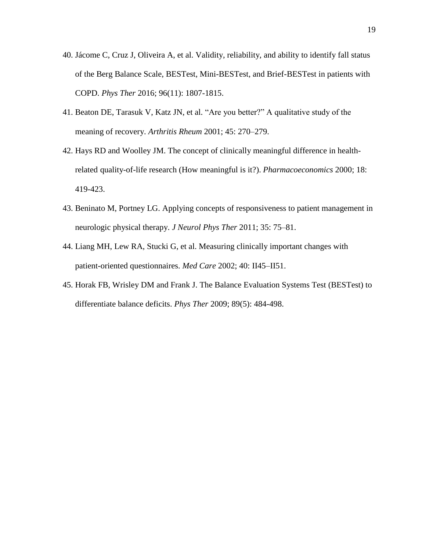- 40. [Jácome C,](https://www.ncbi.nlm.nih.gov/pubmed/?term=J%C3%A1come%20C%5BAuthor%5D&cauthor=true&cauthor_uid=27081201) [Cruz J,](https://www.ncbi.nlm.nih.gov/pubmed/?term=Cruz%20J%5BAuthor%5D&cauthor=true&cauthor_uid=27081201) [Oliveira A,](https://www.ncbi.nlm.nih.gov/pubmed/?term=Oliveira%20A%5BAuthor%5D&cauthor=true&cauthor_uid=27081201) et al. Validity, reliability, and ability to identify fall status of the Berg Balance Scale, BESTest, Mini-BESTest, and Brief-BESTest in patients with COPD. *[Phys Ther](https://www.ncbi.nlm.nih.gov/pubmed/27081201)* 2016; 96(11): 1807-1815.
- 41. Beaton DE, Tarasuk V, Katz JN, et al. "Are you better?" A qualitative study of the meaning of recovery. *Arthritis Rheum* 2001; 45: 270–279.
- 42. Hays RD and Woolley JM. The concept of clinically meaningful difference in healthrelated quality-of-life research (How meaningful is it?). *Pharmacoeconomics* 2000; 18: 419-423.
- 43. Beninato M, Portney LG. Applying concepts of responsiveness to patient management in neurologic physical therapy. *J Neurol Phys Ther* 2011; 35: 75–81.
- 44. Liang MH, Lew RA, Stucki G, et al. Measuring clinically important changes with patient-oriented questionnaires. *Med Care* 2002; 40: II45–II51.
- 45. [Horak FB,](https://www.ncbi.nlm.nih.gov/pubmed/?term=Horak%20FB%5BAuthor%5D&cauthor=true&cauthor_uid=19329772) [Wrisley DM](https://www.ncbi.nlm.nih.gov/pubmed/?term=Wrisley%20DM%5BAuthor%5D&cauthor=true&cauthor_uid=19329772) and [Frank J.](https://www.ncbi.nlm.nih.gov/pubmed/?term=Frank%20J%5BAuthor%5D&cauthor=true&cauthor_uid=19329772) The Balance Evaluation Systems Test (BESTest) to differentiate balance deficits. *[Phys Ther](https://www.ncbi.nlm.nih.gov/pubmed/19329772)* 2009; 89(5): 484-498.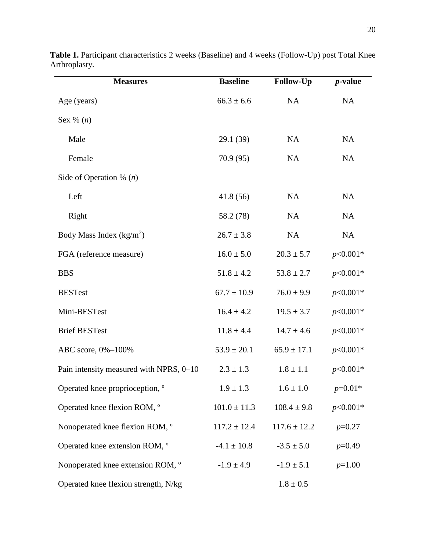| <b>Measures</b>                         | <b>Baseline</b>  | <b>Follow-Up</b> | <i>p</i> -value |  |
|-----------------------------------------|------------------|------------------|-----------------|--|
| Age (years)                             | $66.3 \pm 6.6$   | NA               | NA              |  |
| Sex $\%$ $(n)$                          |                  |                  |                 |  |
| Male                                    | 29.1 (39)        | NA               | NA              |  |
| Female                                  | 70.9(95)         | NA               | <b>NA</b>       |  |
| Side of Operation % $(n)$               |                  |                  |                 |  |
| Left                                    | 41.8(56)         | NA               | NA              |  |
| Right                                   | 58.2 (78)        | NA               | NA              |  |
| Body Mass Index $(kg/m2)$               | $26.7 \pm 3.8$   | NA               | NA              |  |
| FGA (reference measure)                 | $16.0 \pm 5.0$   | $20.3 \pm 5.7$   | $p<0.001*$      |  |
| <b>BBS</b>                              | $51.8 \pm 4.2$   | $53.8 \pm 2.7$   | $p<0.001*$      |  |
| <b>BESTest</b>                          | $67.7 \pm 10.9$  | $76.0 \pm 9.9$   | $p<0.001*$      |  |
| Mini-BESTest                            | $16.4 \pm 4.2$   | $19.5 \pm 3.7$   | $p<0.001*$      |  |
| <b>Brief BESTest</b>                    | $11.8 \pm 4.4$   | $14.7 \pm 4.6$   | $p<0.001*$      |  |
| ABC score, 0%-100%                      | $53.9 \pm 20.1$  | $65.9 \pm 17.1$  | $p<0.001*$      |  |
| Pain intensity measured with NPRS, 0–10 | $2.3 \pm 1.3$    | $1.8 \pm 1.1$    | $p<0.001*$      |  |
| Operated knee proprioception, °         | $1.9 \pm 1.3$    | $1.6 \pm 1.0$    | $p=0.01*$       |  |
| Operated knee flexion ROM, °            | $101.0 \pm 11.3$ | $108.4 \pm 9.8$  | $p<0.001*$      |  |
| Nonoperated knee flexion ROM, °         | $117.2 \pm 12.4$ | $117.6 \pm 12.2$ | $p=0.27$        |  |
| Operated knee extension ROM, °          | $-4.1 \pm 10.8$  | $-3.5 \pm 5.0$   | $p=0.49$        |  |
| Nonoperated knee extension ROM, °       | $-1.9 \pm 4.9$   | $-1.9 \pm 5.1$   | $p=1.00$        |  |
| Operated knee flexion strength, N/kg    |                  | $1.8\pm0.5$      |                 |  |

**Table 1.** Participant characteristics 2 weeks (Baseline) and 4 weeks (Follow-Up) post Total Knee Arthroplasty.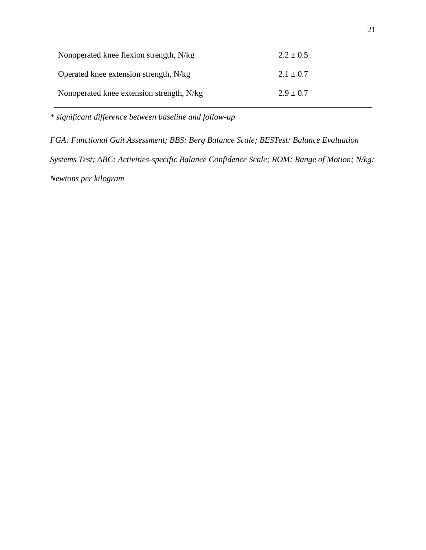| Nonoperated knee flexion strength, N/kg   | $2.2 \pm 0.5$ |
|-------------------------------------------|---------------|
| Operated knee extension strength, N/kg    | $2.1 \pm 0.7$ |
| Nonoperated knee extension strength, N/kg | $2.9 \pm 0.7$ |

*\* significant difference between baseline and follow-up*

*FGA: Functional Gait Assessment; BBS: Berg Balance Scale; BESTest: Balance Evaluation Systems Test; ABC: Activities-specific Balance Confidence Scale; ROM: Range of Motion; N/kg: Newtons per kilogram*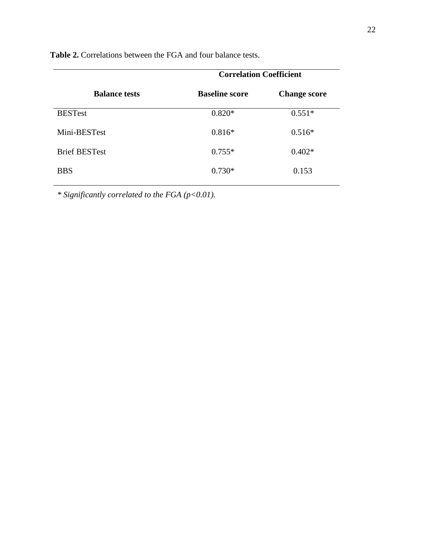|                      | <b>Correlation Coefficient</b> |                     |  |  |
|----------------------|--------------------------------|---------------------|--|--|
| <b>Balance tests</b> | <b>Baseline score</b>          | <b>Change score</b> |  |  |
| <b>BESTest</b>       | $0.820*$                       | $0.551*$            |  |  |
| Mini-BESTest         | $0.816*$                       | $0.516*$            |  |  |
| <b>Brief BESTest</b> | $0.755*$                       | $0.402*$            |  |  |
| <b>BBS</b>           | $0.730*$                       | 0.153               |  |  |

**Table 2.** Correlations between the FGA and four balance tests.

*\* Significantly correlated to the FGA (p<0.01).*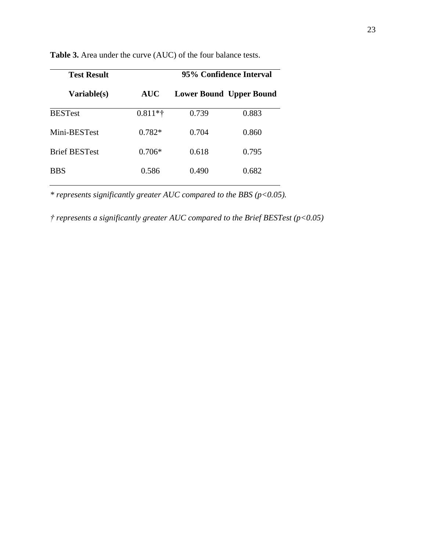|            | 95% Confidence Interval        |       |  |  |
|------------|--------------------------------|-------|--|--|
| <b>AUC</b> | <b>Lower Bound Upper Bound</b> |       |  |  |
| $0.811**$  | 0.739                          | 0.883 |  |  |
| $0.782*$   | 0.704                          | 0.860 |  |  |
| $0.706*$   | 0.618                          | 0.795 |  |  |
| 0.586      | 0.490                          | 0.682 |  |  |
|            |                                |       |  |  |

**Table 3.** Area under the curve (AUC) of the four balance tests.

*\* represents significantly greater AUC compared to the BBS (p<0.05).*

*† represents a significantly greater AUC compared to the Brief BESTest (p<0.05)*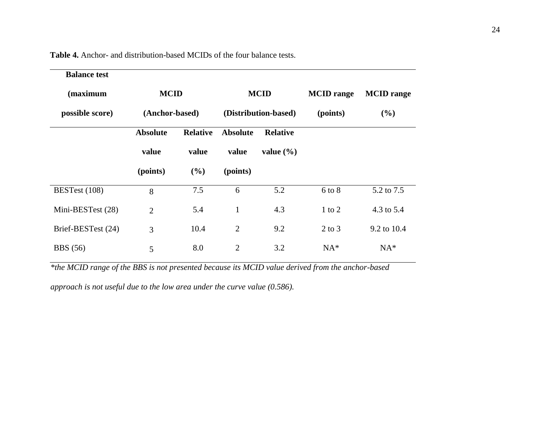**Table 4.** Anchor- and distribution-based MCIDs of the four balance tests.

| <b>Balance test</b> |                 |                 |                      |                 |                   |                   |
|---------------------|-----------------|-----------------|----------------------|-----------------|-------------------|-------------------|
| (maximum            | <b>MCID</b>     |                 | <b>MCID</b>          |                 | <b>MCID</b> range | <b>MCID</b> range |
| possible score)     | (Anchor-based)  |                 | (Distribution-based) |                 | (points)          | $(\%)$            |
|                     | <b>Absolute</b> | <b>Relative</b> | <b>Absolute</b>      | <b>Relative</b> |                   |                   |
|                     | value           | value           | value                | value $(\% )$   |                   |                   |
|                     | (points)        | (%)             | (points)             |                 |                   |                   |
| BESTest (108)       | 8               | 7.5             | 6                    | 5.2             | $6$ to $8$        | 5.2 to 7.5        |
| Mini-BESTest (28)   | $\overline{2}$  | 5.4             | $\mathbf{1}$         | 4.3             | $1$ to $2$        | 4.3 to 5.4        |
| Brief-BESTest (24)  | 3               | 10.4            | $\overline{2}$       | 9.2             | $2$ to $3$        | 9.2 to 10.4       |
| <b>BBS</b> (56)     | 5               | 8.0             | $\overline{2}$       | 3.2             | $NA^*$            | $NA*$             |

*\*the MCID range of the BBS is not presented because its MCID value derived from the anchor-based* 

*approach is not useful due to the low area under the curve value (0.586).*